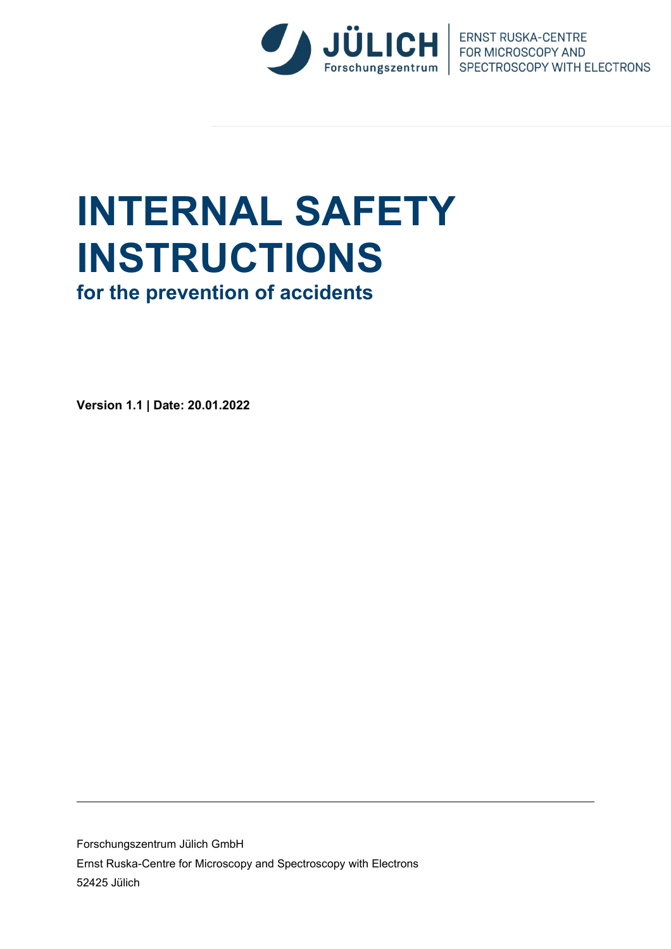

Forschungszentrum | SPECTROSCOPY WITH ELECTRONS

# **INTERNAL SAFETY INSTRUCTIONS**

**for the prevention of accidents**

**Version 1.1 | Date: 20.01.2022**

Forschungszentrum Jülich GmbH Ernst Ruska-Centre for Microscopy and Spectroscopy with Electrons 52425 Jülich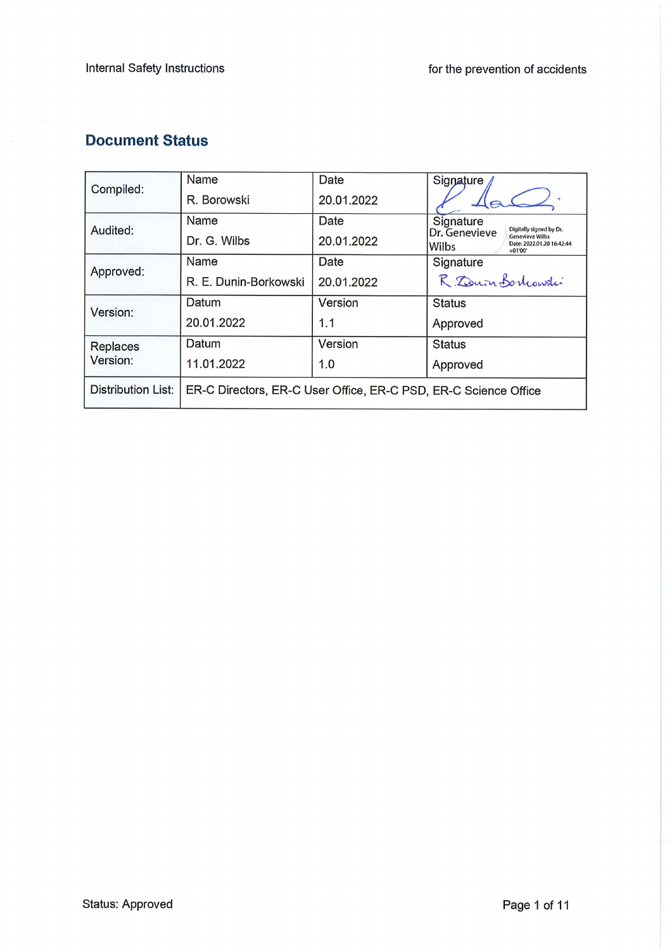# **Document Status**

 $\bar{a}$ 

| Compiled:                   | Name                                                            | Date       | Signature                                                                                   |  |  |  |
|-----------------------------|-----------------------------------------------------------------|------------|---------------------------------------------------------------------------------------------|--|--|--|
|                             | R. Borowski                                                     | 20.01.2022 |                                                                                             |  |  |  |
| Audited:                    | Name                                                            | Date       | Signature<br>Digitally signed by Dr.                                                        |  |  |  |
|                             | Dr. G. Wilbs                                                    | 20.01.2022 | Dr. Genevieve<br><b>Genevieve Wilbs</b><br>Date: 2022.01.20 16:42:44<br>lWilbs<br>$+01'00'$ |  |  |  |
| Approved:                   | Name                                                            | Date       | Signature                                                                                   |  |  |  |
|                             | R. E. Dunin-Borkowski                                           | 20.01.2022 | R. Zourn Bortcowski                                                                         |  |  |  |
| Version:                    | Datum                                                           | Version    | <b>Status</b>                                                                               |  |  |  |
|                             | 20.01.2022                                                      | 1.1        | Approved                                                                                    |  |  |  |
| <b>Replaces</b><br>Version: | Datum                                                           | Version    | <b>Status</b>                                                                               |  |  |  |
|                             | 11.01.2022                                                      | 1.0        | Approved                                                                                    |  |  |  |
| Distribution List:          | ER-C Directors, ER-C User Office, ER-C PSD, ER-C Science Office |            |                                                                                             |  |  |  |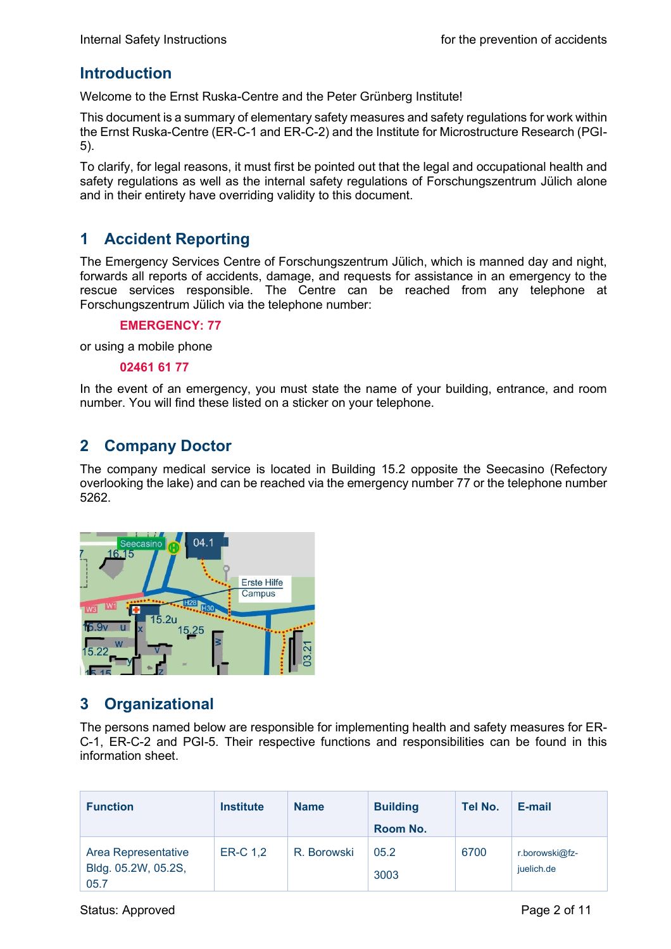## **Introduction**

Welcome to the Ernst Ruska-Centre and the Peter Grünberg Institute!

This document is a summary of elementary safety measures and safety regulations for work within the Ernst Ruska-Centre (ER-C-1 and ER-C-2) and the Institute for Microstructure Research (PGI-5).

To clarify, for legal reasons, it must first be pointed out that the legal and occupational health and safety regulations as well as the internal safety regulations of Forschungszentrum Jülich alone and in their entirety have overriding validity to this document.

## **1 Accident Reporting**

The Emergency Services Centre of Forschungszentrum Jülich, which is manned day and night, forwards all reports of accidents, damage, and requests for assistance in an emergency to the rescue services responsible. The Centre can be reached from any telephone at Forschungszentrum Jülich via the telephone number:

#### **EMERGENCY: 77**

or using a mobile phone

#### **02461 61 77**

In the event of an emergency, you must state the name of your building, entrance, and room number. You will find these listed on a sticker on your telephone.

## **2 Company Doctor**

The company medical service is located in Building 15.2 opposite the Seecasino (Refectory overlooking the lake) and can be reached via the emergency number 77 or the telephone number 5262.



## **3 Organizational**

The persons named below are responsible for implementing health and safety measures for ER-C-1, ER-C-2 and PGI-5. Their respective functions and responsibilities can be found in this information sheet.

| <b>Function</b>                                    | <b>Institute</b> | <b>Name</b> | <b>Building</b><br>Room No. | Tel No. | E-mail                       |
|----------------------------------------------------|------------------|-------------|-----------------------------|---------|------------------------------|
| Area Representative<br>Bldg. 05.2W, 05.2S,<br>05.7 | ER-C 1,2         | R. Borowski | 05.2<br>3003                | 6700    | r.borowski@fz-<br>juelich.de |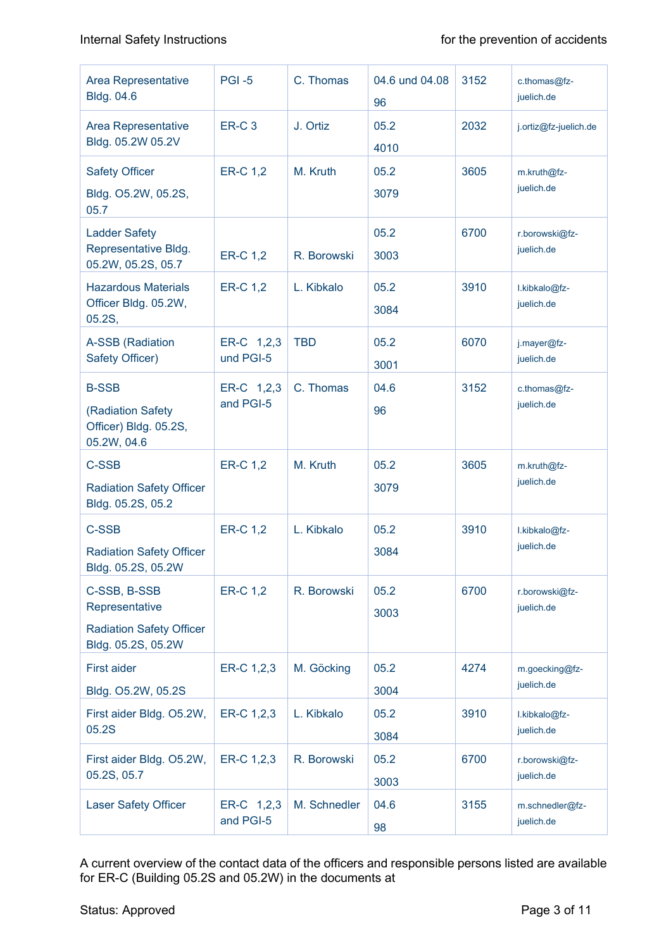| Area Representative<br><b>Bldg. 04.6</b>                                                | <b>PGI -5</b>           | C. Thomas    | 04.6 und 04.08<br>96 | 3152 | c.thomas@fz-<br>juelich.de    |
|-----------------------------------------------------------------------------------------|-------------------------|--------------|----------------------|------|-------------------------------|
| Area Representative<br>Bldg. 05.2W 05.2V                                                | <b>ER-C3</b>            | J. Ortiz     | 05.2<br>4010         | 2032 | j.ortiz@fz-juelich.de         |
| <b>Safety Officer</b><br>Bldg. O5.2W, 05.2S,<br>05.7                                    | <b>ER-C 1,2</b>         | M. Kruth     | 05.2<br>3079         | 3605 | m.kruth@fz-<br>juelich.de     |
| <b>Ladder Safety</b><br>Representative Bldg.<br>05.2W, 05.2S, 05.7                      | <b>ER-C 1,2</b>         | R. Borowski  | 05.2<br>3003         | 6700 | r.borowski@fz-<br>juelich.de  |
| <b>Hazardous Materials</b><br>Officer Bldg. 05.2W,<br>05.2S,                            | <b>ER-C 1,2</b>         | L. Kibkalo   | 05.2<br>3084         | 3910 | I.kibkalo@fz-<br>juelich.de   |
| <b>A-SSB</b> (Radiation<br>Safety Officer)                                              | ER-C 1,2,3<br>und PGI-5 | <b>TBD</b>   | 05.2<br>3001         | 6070 | j.mayer@fz-<br>juelich.de     |
| <b>B-SSB</b><br>(Radiation Safety<br>Officer) Bldg. 05.2S,<br>05.2W, 04.6               | ER-C 1,2,3<br>and PGI-5 | C. Thomas    | 04.6<br>96           | 3152 | c.thomas@fz-<br>juelich.de    |
| <b>C-SSB</b><br><b>Radiation Safety Officer</b><br>Bldg. 05.2S, 05.2                    | <b>ER-C 1,2</b>         | M. Kruth     | 05.2<br>3079         | 3605 | m.kruth@fz-<br>juelich.de     |
| <b>C-SSB</b><br><b>Radiation Safety Officer</b><br>Bldg. 05.2S, 05.2W                   | <b>ER-C 1,2</b>         | L. Kibkalo   | 05.2<br>3084         | 3910 | I.kibkalo@fz-<br>juelich.de   |
| C-SSB, B-SSB<br>Representative<br><b>Radiation Safety Officer</b><br>Bldg. 05.2S, 05.2W | <b>ER-C 1,2</b>         | R. Borowski  | 05.2<br>3003         | 6700 | r.borowski@fz-<br>juelich.de  |
| <b>First aider</b><br>Bldg. O5.2W, 05.2S                                                | ER-C 1,2,3              | M. Göcking   | 05.2<br>3004         | 4274 | m.goecking@fz-<br>juelich.de  |
| First aider Bldg. O5.2W,<br>05.2S                                                       | ER-C 1,2,3              | L. Kibkalo   | 05.2<br>3084         | 3910 | I.kibkalo@fz-<br>juelich.de   |
| First aider Bldg. O5.2W,<br>05.2S, 05.7                                                 | ER-C 1,2,3              | R. Borowski  | 05.2<br>3003         | 6700 | r.borowski@fz-<br>juelich.de  |
| <b>Laser Safety Officer</b>                                                             | ER-C 1,2,3<br>and PGI-5 | M. Schnedler | 04.6<br>98           | 3155 | m.schnedler@fz-<br>juelich.de |

A current overview of the contact data of the officers and responsible persons listed are available for ER-C (Building 05.2S and 05.2W) in the documents at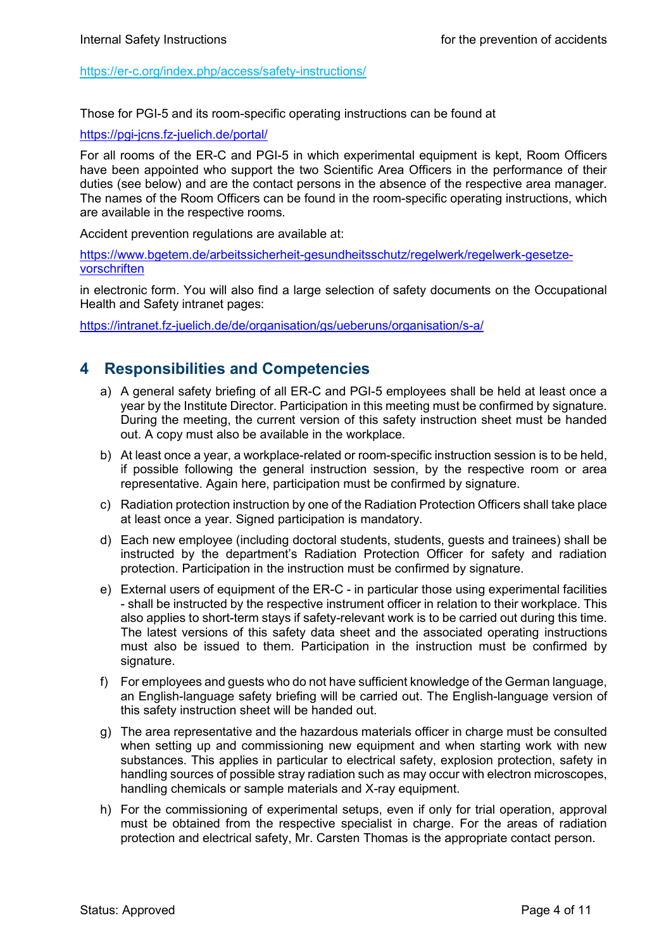<https://er-c.org/index.php/access/safety-instructions/>

Those for PGI-5 and its room-specific operating instructions can be found at

<https://pgi-jcns.fz-juelich.de/portal/>

For all rooms of the ER-C and PGI-5 in which experimental equipment is kept, Room Officers have been appointed who support the two Scientific Area Officers in the performance of their duties (see below) and are the contact persons in the absence of the respective area manager. The names of the Room Officers can be found in the room-specific operating instructions, which are available in the respective rooms.

Accident prevention regulations are available at:

https://www.bgetem.de/arbeitssicherheit-gesundheitsschutz/regelwerk/regelwerk-gesetzevorschriften

in electronic form. You will also find a large selection of safety documents on the Occupational Health and Safety intranet pages:

<https://intranet.fz-juelich.de/de/organisation/gs/ueberuns/organisation/s-a/>

## **4 Responsibilities and Competencies**

- a) A general safety briefing of all ER-C and PGI-5 employees shall be held at least once a year by the Institute Director. Participation in this meeting must be confirmed by signature. During the meeting, the current version of this safety instruction sheet must be handed out. A copy must also be available in the workplace.
- b) At least once a year, a workplace-related or room-specific instruction session is to be held, if possible following the general instruction session, by the respective room or area representative. Again here, participation must be confirmed by signature.
- c) Radiation protection instruction by one of the Radiation Protection Officers shall take place at least once a year. Signed participation is mandatory.
- d) Each new employee (including doctoral students, students, guests and trainees) shall be instructed by the department's Radiation Protection Officer for safety and radiation protection. Participation in the instruction must be confirmed by signature.
- e) External users of equipment of the ER-C in particular those using experimental facilities - shall be instructed by the respective instrument officer in relation to their workplace. This also applies to short-term stays if safety-relevant work is to be carried out during this time. The latest versions of this safety data sheet and the associated operating instructions must also be issued to them. Participation in the instruction must be confirmed by signature.
- f) For employees and guests who do not have sufficient knowledge of the German language, an English-language safety briefing will be carried out. The English-language version of this safety instruction sheet will be handed out.
- g) The area representative and the hazardous materials officer in charge must be consulted when setting up and commissioning new equipment and when starting work with new substances. This applies in particular to electrical safety, explosion protection, safety in handling sources of possible stray radiation such as may occur with electron microscopes, handling chemicals or sample materials and X-ray equipment.
- h) For the commissioning of experimental setups, even if only for trial operation, approval must be obtained from the respective specialist in charge. For the areas of radiation protection and electrical safety, Mr. Carsten Thomas is the appropriate contact person.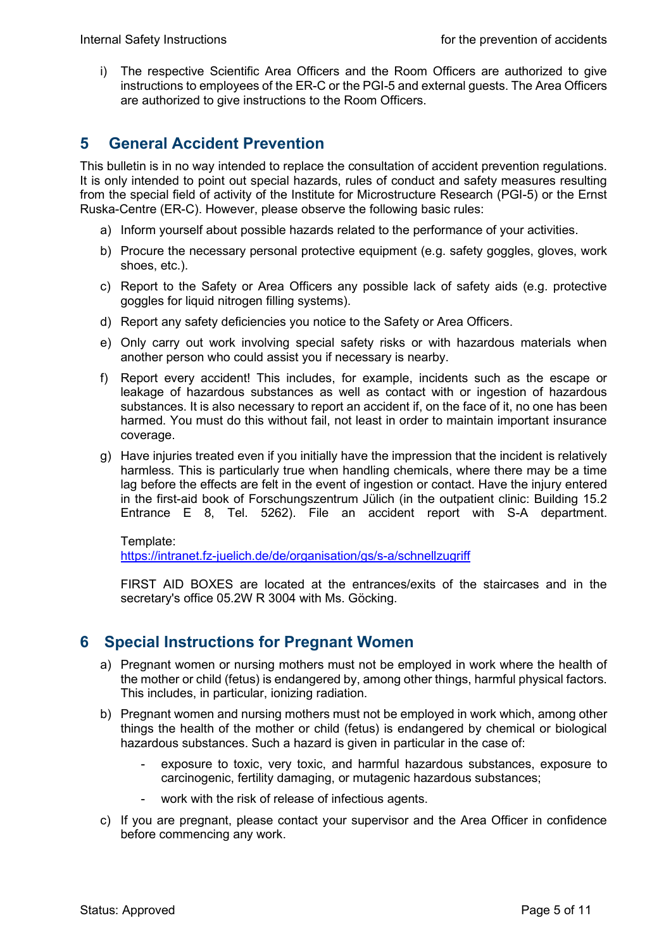i) The respective Scientific Area Officers and the Room Officers are authorized to give instructions to employees of the ER-C or the PGI-5 and external guests. The Area Officers are authorized to give instructions to the Room Officers.

# **5 General Accident Prevention**

This bulletin is in no way intended to replace the consultation of accident prevention regulations. It is only intended to point out special hazards, rules of conduct and safety measures resulting from the special field of activity of the Institute for Microstructure Research (PGI-5) or the Ernst Ruska-Centre (ER-C). However, please observe the following basic rules:

- a) Inform yourself about possible hazards related to the performance of your activities.
- b) Procure the necessary personal protective equipment (e.g. safety goggles, gloves, work shoes, etc.).
- c) Report to the Safety or Area Officers any possible lack of safety aids (e.g. protective goggles for liquid nitrogen filling systems).
- d) Report any safety deficiencies you notice to the Safety or Area Officers.
- e) Only carry out work involving special safety risks or with hazardous materials when another person who could assist you if necessary is nearby.
- f) Report every accident! This includes, for example, incidents such as the escape or leakage of hazardous substances as well as contact with or ingestion of hazardous substances. It is also necessary to report an accident if, on the face of it, no one has been harmed. You must do this without fail, not least in order to maintain important insurance coverage.
- g) Have injuries treated even if you initially have the impression that the incident is relatively harmless. This is particularly true when handling chemicals, where there may be a time lag before the effects are felt in the event of ingestion or contact. Have the injury entered in the first-aid book of Forschungszentrum Jülich (in the outpatient clinic: Building 15.2 Entrance E 8, Tel. 5262). File an accident report with S-A department.

Template:

<https://intranet.fz-juelich.de/de/organisation/gs/s-a/schnellzugriff>

FIRST AID BOXES are located at the entrances/exits of the staircases and in the secretary's office 05.2W R 3004 with Ms. Göcking.

## **6 Special Instructions for Pregnant Women**

- a) Pregnant women or nursing mothers must not be employed in work where the health of the mother or child (fetus) is endangered by, among other things, harmful physical factors. This includes, in particular, ionizing radiation.
- b) Pregnant women and nursing mothers must not be employed in work which, among other things the health of the mother or child (fetus) is endangered by chemical or biological hazardous substances. Such a hazard is given in particular in the case of:
	- exposure to toxic, very toxic, and harmful hazardous substances, exposure to carcinogenic, fertility damaging, or mutagenic hazardous substances;
	- work with the risk of release of infectious agents.
- c) If you are pregnant, please contact your supervisor and the Area Officer in confidence before commencing any work.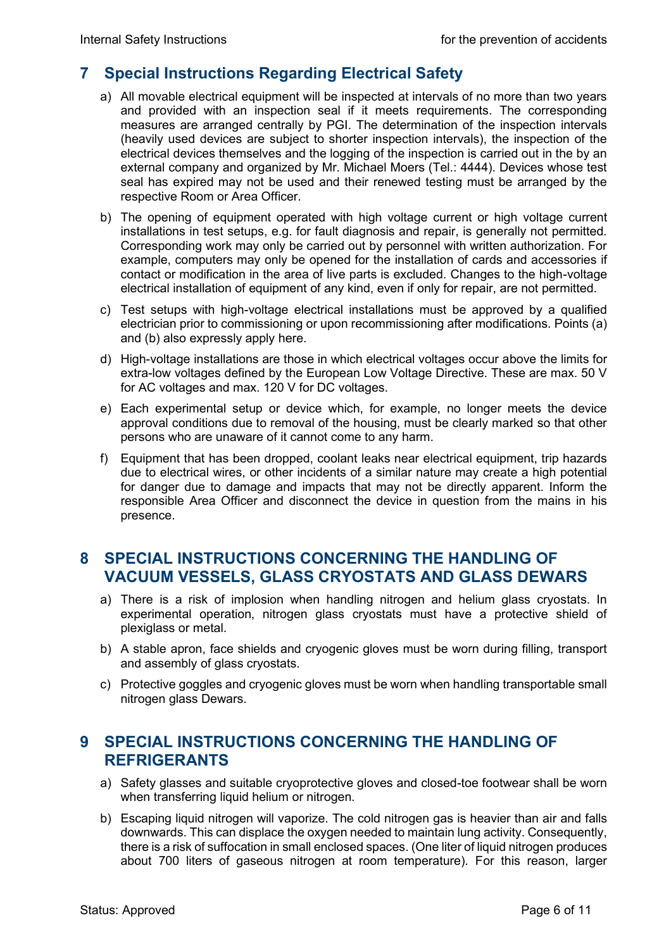## **7 Special Instructions Regarding Electrical Safety**

- a) All movable electrical equipment will be inspected at intervals of no more than two years and provided with an inspection seal if it meets requirements. The corresponding measures are arranged centrally by PGI. The determination of the inspection intervals (heavily used devices are subject to shorter inspection intervals), the inspection of the electrical devices themselves and the logging of the inspection is carried out in the by an external company and organized by Mr. Michael Moers (Tel.: 4444). Devices whose test seal has expired may not be used and their renewed testing must be arranged by the respective Room or Area Officer.
- b) The opening of equipment operated with high voltage current or high voltage current installations in test setups, e.g. for fault diagnosis and repair, is generally not permitted. Corresponding work may only be carried out by personnel with written authorization. For example, computers may only be opened for the installation of cards and accessories if contact or modification in the area of live parts is excluded. Changes to the high-voltage electrical installation of equipment of any kind, even if only for repair, are not permitted.
- c) Test setups with high-voltage electrical installations must be approved by a qualified electrician prior to commissioning or upon recommissioning after modifications. Points (a) and (b) also expressly apply here.
- d) High-voltage installations are those in which electrical voltages occur above the limits for extra-low voltages defined by the European Low Voltage Directive. These are max. 50 V for AC voltages and max. 120 V for DC voltages.
- e) Each experimental setup or device which, for example, no longer meets the device approval conditions due to removal of the housing, must be clearly marked so that other persons who are unaware of it cannot come to any harm.
- f) Equipment that has been dropped, coolant leaks near electrical equipment, trip hazards due to electrical wires, or other incidents of a similar nature may create a high potential for danger due to damage and impacts that may not be directly apparent. Inform the responsible Area Officer and disconnect the device in question from the mains in his presence.

## **8 SPECIAL INSTRUCTIONS CONCERNING THE HANDLING OF VACUUM VESSELS, GLASS CRYOSTATS AND GLASS DEWARS**

- a) There is a risk of implosion when handling nitrogen and helium glass cryostats. In experimental operation, nitrogen glass cryostats must have a protective shield of plexiglass or metal.
- b) A stable apron, face shields and cryogenic gloves must be worn during filling, transport and assembly of glass cryostats.
- c) Protective goggles and cryogenic gloves must be worn when handling transportable small nitrogen glass Dewars.

## **9 SPECIAL INSTRUCTIONS CONCERNING THE HANDLING OF REFRIGERANTS**

- a) Safety glasses and suitable cryoprotective gloves and closed-toe footwear shall be worn when transferring liquid helium or nitrogen.
- b) Escaping liquid nitrogen will vaporize. The cold nitrogen gas is heavier than air and falls downwards. This can displace the oxygen needed to maintain lung activity. Consequently, there is a risk of suffocation in small enclosed spaces. (One liter of liquid nitrogen produces about 700 liters of gaseous nitrogen at room temperature). For this reason, larger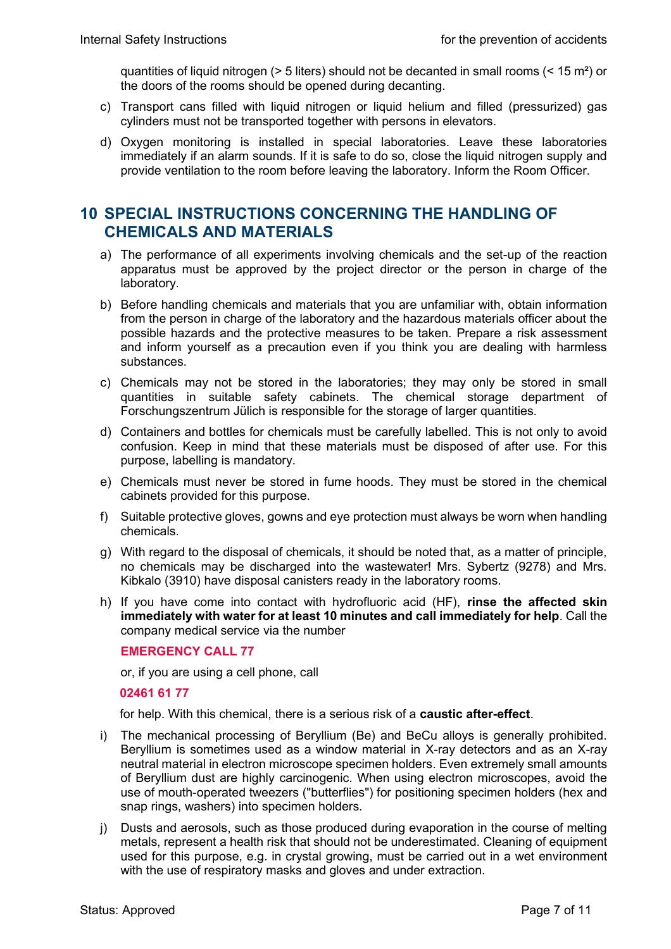quantities of liquid nitrogen ( $> 5$  liters) should not be decanted in small rooms ( $< 15$  m<sup>2</sup>) or the doors of the rooms should be opened during decanting.

- c) Transport cans filled with liquid nitrogen or liquid helium and filled (pressurized) gas cylinders must not be transported together with persons in elevators.
- d) Oxygen monitoring is installed in special laboratories. Leave these laboratories immediately if an alarm sounds. If it is safe to do so, close the liquid nitrogen supply and provide ventilation to the room before leaving the laboratory. Inform the Room Officer.

#### **10 SPECIAL INSTRUCTIONS CONCERNING THE HANDLING OF CHEMICALS AND MATERIALS**

- a) The performance of all experiments involving chemicals and the set-up of the reaction apparatus must be approved by the project director or the person in charge of the laboratory.
- b) Before handling chemicals and materials that you are unfamiliar with, obtain information from the person in charge of the laboratory and the hazardous materials officer about the possible hazards and the protective measures to be taken. Prepare a risk assessment and inform yourself as a precaution even if you think you are dealing with harmless substances.
- c) Chemicals may not be stored in the laboratories; they may only be stored in small quantities in suitable safety cabinets. The chemical storage department of Forschungszentrum Jülich is responsible for the storage of larger quantities.
- d) Containers and bottles for chemicals must be carefully labelled. This is not only to avoid confusion. Keep in mind that these materials must be disposed of after use. For this purpose, labelling is mandatory.
- e) Chemicals must never be stored in fume hoods. They must be stored in the chemical cabinets provided for this purpose.
- f) Suitable protective gloves, gowns and eye protection must always be worn when handling chemicals.
- g) With regard to the disposal of chemicals, it should be noted that, as a matter of principle, no chemicals may be discharged into the wastewater! Mrs. Sybertz (9278) and Mrs. Kibkalo (3910) have disposal canisters ready in the laboratory rooms.
- h) If you have come into contact with hydrofluoric acid (HF), **rinse the affected skin immediately with water for at least 10 minutes and call immediately for help**. Call the company medical service via the number

#### **EMERGENCY CALL 77**

or, if you are using a cell phone, call

#### **02461 61 77**

for help. With this chemical, there is a serious risk of a **caustic after-effect**.

- i) The mechanical processing of Beryllium (Be) and BeCu alloys is generally prohibited. Beryllium is sometimes used as a window material in X-ray detectors and as an X-ray neutral material in electron microscope specimen holders. Even extremely small amounts of Beryllium dust are highly carcinogenic. When using electron microscopes, avoid the use of mouth-operated tweezers ("butterflies") for positioning specimen holders (hex and snap rings, washers) into specimen holders.
- j) Dusts and aerosols, such as those produced during evaporation in the course of melting metals, represent a health risk that should not be underestimated. Cleaning of equipment used for this purpose, e.g. in crystal growing, must be carried out in a wet environment with the use of respiratory masks and gloves and under extraction.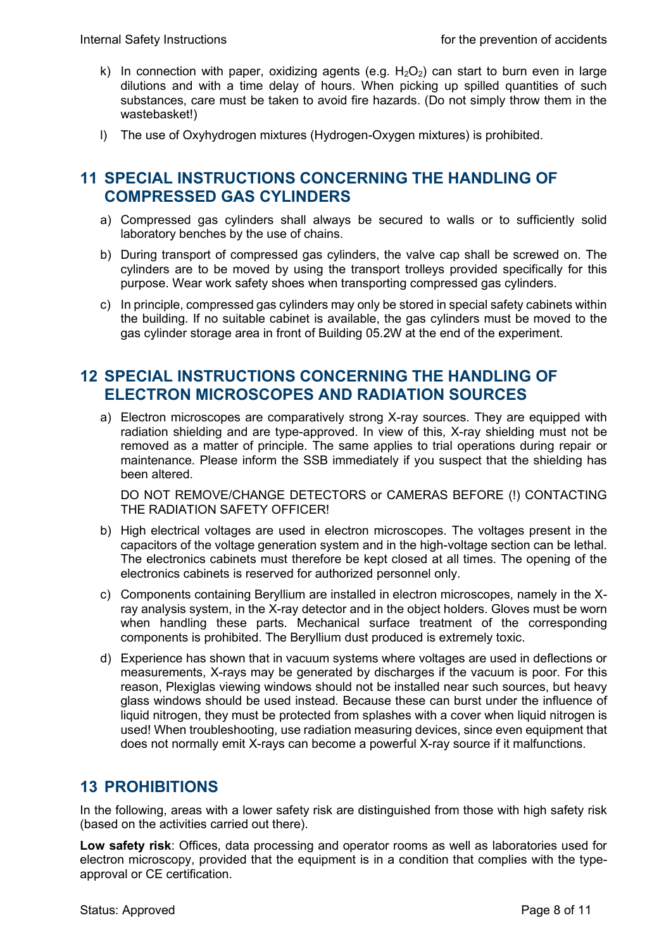- k) In connection with paper, oxidizing agents (e.g.  $H_2O_2$ ) can start to burn even in large dilutions and with a time delay of hours. When picking up spilled quantities of such substances, care must be taken to avoid fire hazards. (Do not simply throw them in the wastebasket!)
- l) The use of Oxyhydrogen mixtures (Hydrogen-Oxygen mixtures) is prohibited.

#### **11 SPECIAL INSTRUCTIONS CONCERNING THE HANDLING OF COMPRESSED GAS CYLINDERS**

- a) Compressed gas cylinders shall always be secured to walls or to sufficiently solid laboratory benches by the use of chains.
- b) During transport of compressed gas cylinders, the valve cap shall be screwed on. The cylinders are to be moved by using the transport trolleys provided specifically for this purpose. Wear work safety shoes when transporting compressed gas cylinders.
- c) In principle, compressed gas cylinders may only be stored in special safety cabinets within the building. If no suitable cabinet is available, the gas cylinders must be moved to the gas cylinder storage area in front of Building 05.2W at the end of the experiment.

## **12 SPECIAL INSTRUCTIONS CONCERNING THE HANDLING OF ELECTRON MICROSCOPES AND RADIATION SOURCES**

a) Electron microscopes are comparatively strong X-ray sources. They are equipped with radiation shielding and are type-approved. In view of this, X-ray shielding must not be removed as a matter of principle. The same applies to trial operations during repair or maintenance. Please inform the SSB immediately if you suspect that the shielding has been altered.

DO NOT REMOVE/CHANGE DETECTORS or CAMERAS BEFORE (!) CONTACTING THE RADIATION SAFETY OFFICER!

- b) High electrical voltages are used in electron microscopes. The voltages present in the capacitors of the voltage generation system and in the high-voltage section can be lethal. The electronics cabinets must therefore be kept closed at all times. The opening of the electronics cabinets is reserved for authorized personnel only.
- c) Components containing Beryllium are installed in electron microscopes, namely in the Xray analysis system, in the X-ray detector and in the object holders. Gloves must be worn when handling these parts. Mechanical surface treatment of the corresponding components is prohibited. The Beryllium dust produced is extremely toxic.
- d) Experience has shown that in vacuum systems where voltages are used in deflections or measurements, X-rays may be generated by discharges if the vacuum is poor. For this reason, Plexiglas viewing windows should not be installed near such sources, but heavy glass windows should be used instead. Because these can burst under the influence of liquid nitrogen, they must be protected from splashes with a cover when liquid nitrogen is used! When troubleshooting, use radiation measuring devices, since even equipment that does not normally emit X-rays can become a powerful X-ray source if it malfunctions.

## **13 PROHIBITIONS**

In the following, areas with a lower safety risk are distinguished from those with high safety risk (based on the activities carried out there).

**Low safety risk**: Offices, data processing and operator rooms as well as laboratories used for electron microscopy, provided that the equipment is in a condition that complies with the typeapproval or CE certification.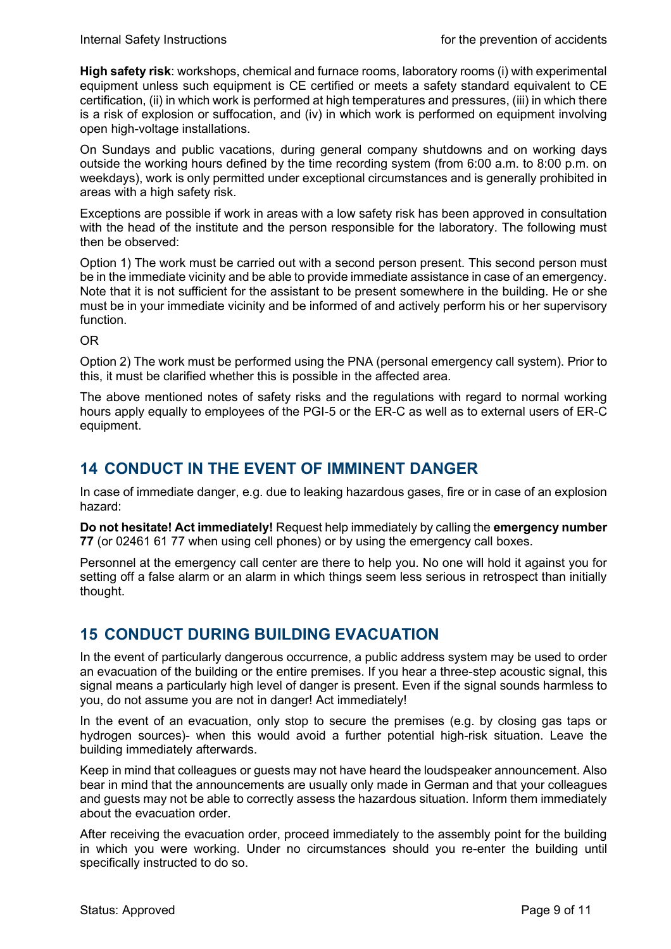**High safety risk**: workshops, chemical and furnace rooms, laboratory rooms (i) with experimental equipment unless such equipment is CE certified or meets a safety standard equivalent to CE certification, (ii) in which work is performed at high temperatures and pressures, (iii) in which there is a risk of explosion or suffocation, and (iv) in which work is performed on equipment involving open high-voltage installations.

On Sundays and public vacations, during general company shutdowns and on working days outside the working hours defined by the time recording system (from 6:00 a.m. to 8:00 p.m. on weekdays), work is only permitted under exceptional circumstances and is generally prohibited in areas with a high safety risk.

Exceptions are possible if work in areas with a low safety risk has been approved in consultation with the head of the institute and the person responsible for the laboratory. The following must then be observed:

Option 1) The work must be carried out with a second person present. This second person must be in the immediate vicinity and be able to provide immediate assistance in case of an emergency. Note that it is not sufficient for the assistant to be present somewhere in the building. He or she must be in your immediate vicinity and be informed of and actively perform his or her supervisory function.

OR

Option 2) The work must be performed using the PNA (personal emergency call system). Prior to this, it must be clarified whether this is possible in the affected area.

The above mentioned notes of safety risks and the regulations with regard to normal working hours apply equally to employees of the PGI-5 or the ER-C as well as to external users of ER-C equipment.

# **14 CONDUCT IN THE EVENT OF IMMINENT DANGER**

In case of immediate danger, e.g. due to leaking hazardous gases, fire or in case of an explosion hazard:

**Do not hesitate! Act immediately!** Request help immediately by calling the **emergency number 77** (or 02461 61 77 when using cell phones) or by using the emergency call boxes.

Personnel at the emergency call center are there to help you. No one will hold it against you for setting off a false alarm or an alarm in which things seem less serious in retrospect than initially thought.

# **15 CONDUCT DURING BUILDING EVACUATION**

In the event of particularly dangerous occurrence, a public address system may be used to order an evacuation of the building or the entire premises. If you hear a three-step acoustic signal, this signal means a particularly high level of danger is present. Even if the signal sounds harmless to you, do not assume you are not in danger! Act immediately!

In the event of an evacuation, only stop to secure the premises (e.g. by closing gas taps or hydrogen sources)- when this would avoid a further potential high-risk situation. Leave the building immediately afterwards.

Keep in mind that colleagues or guests may not have heard the loudspeaker announcement. Also bear in mind that the announcements are usually only made in German and that your colleagues and guests may not be able to correctly assess the hazardous situation. Inform them immediately about the evacuation order.

After receiving the evacuation order, proceed immediately to the assembly point for the building in which you were working. Under no circumstances should you re-enter the building until specifically instructed to do so.